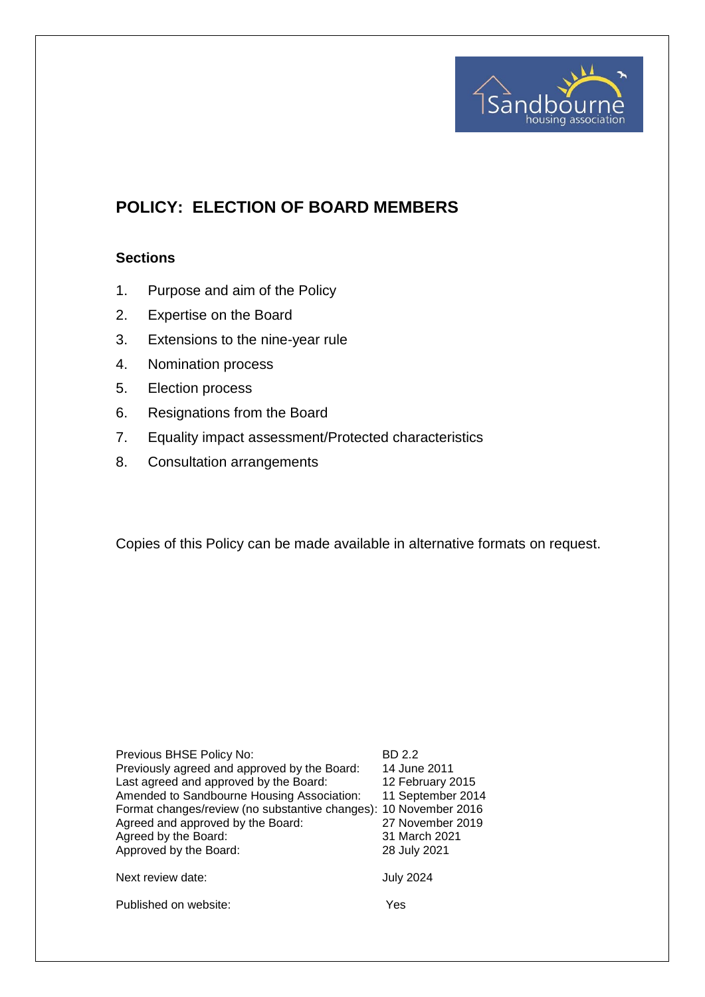

# **POLICY: ELECTION OF BOARD MEMBERS**

## **Sections**

- 1. Purpose and aim of the Policy
- 2. Expertise on the Board
- 3. Extensions to the nine-year rule
- 4. Nomination process
- 5. Election process
- 6. Resignations from the Board
- 7. Equality impact assessment/Protected characteristics
- 8. Consultation arrangements

Copies of this Policy can be made available in alternative formats on request.

| Previous BHSE Policy No:<br>Previously agreed and approved by the Board:<br>Last agreed and approved by the Board:<br>Amended to Sandbourne Housing Association:<br>Format changes/review (no substantive changes): 10 November 2016<br>Agreed and approved by the Board:<br>Agreed by the Board:<br>Approved by the Board: | BD 2.2<br>14 June 2011<br>12 February 2015<br>11 September 2014<br>27 November 2019<br>31 March 2021<br>28 July 2021 |
|-----------------------------------------------------------------------------------------------------------------------------------------------------------------------------------------------------------------------------------------------------------------------------------------------------------------------------|----------------------------------------------------------------------------------------------------------------------|
| Next review date:                                                                                                                                                                                                                                                                                                           | <b>July 2024</b>                                                                                                     |
| Published on website:                                                                                                                                                                                                                                                                                                       | Yes                                                                                                                  |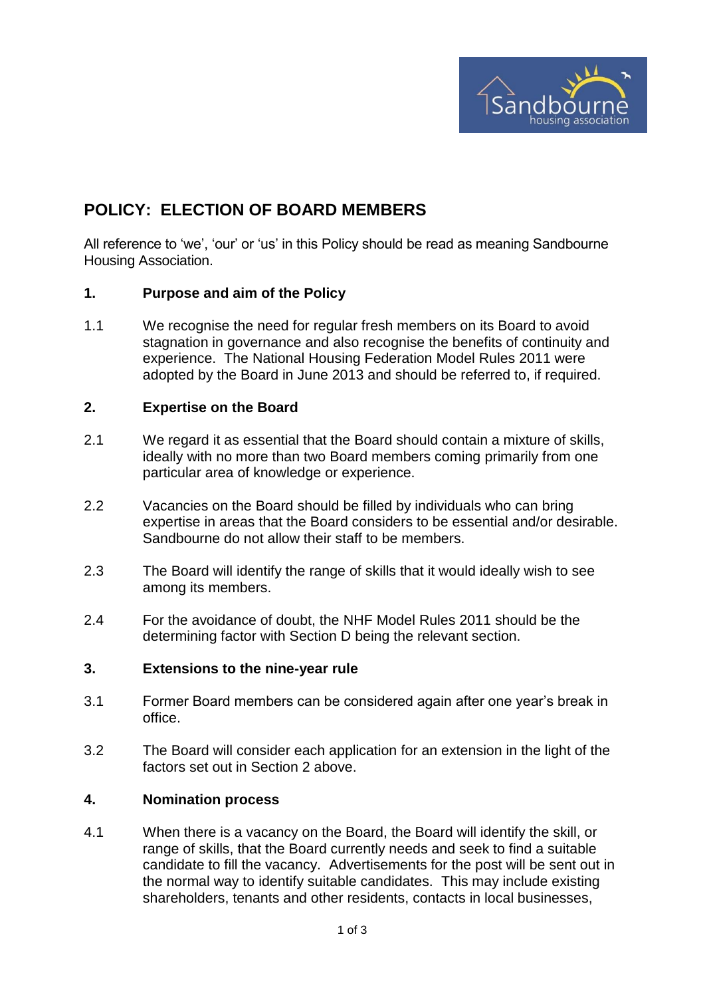

## **POLICY: ELECTION OF BOARD MEMBERS**

All reference to 'we', 'our' or 'us' in this Policy should be read as meaning Sandbourne Housing Association.

#### **1. Purpose and aim of the Policy**

1.1 We recognise the need for regular fresh members on its Board to avoid stagnation in governance and also recognise the benefits of continuity and experience. The National Housing Federation Model Rules 2011 were adopted by the Board in June 2013 and should be referred to, if required.

#### **2. Expertise on the Board**

- 2.1 We regard it as essential that the Board should contain a mixture of skills, ideally with no more than two Board members coming primarily from one particular area of knowledge or experience.
- 2.2 Vacancies on the Board should be filled by individuals who can bring expertise in areas that the Board considers to be essential and/or desirable. Sandbourne do not allow their staff to be members.
- 2.3 The Board will identify the range of skills that it would ideally wish to see among its members.
- 2.4 For the avoidance of doubt, the NHF Model Rules 2011 should be the determining factor with Section D being the relevant section.

#### **3. Extensions to the nine-year rule**

- 3.1 Former Board members can be considered again after one year's break in office.
- 3.2 The Board will consider each application for an extension in the light of the factors set out in Section 2 above.

#### **4. Nomination process**

4.1 When there is a vacancy on the Board, the Board will identify the skill, or range of skills, that the Board currently needs and seek to find a suitable candidate to fill the vacancy. Advertisements for the post will be sent out in the normal way to identify suitable candidates. This may include existing shareholders, tenants and other residents, contacts in local businesses,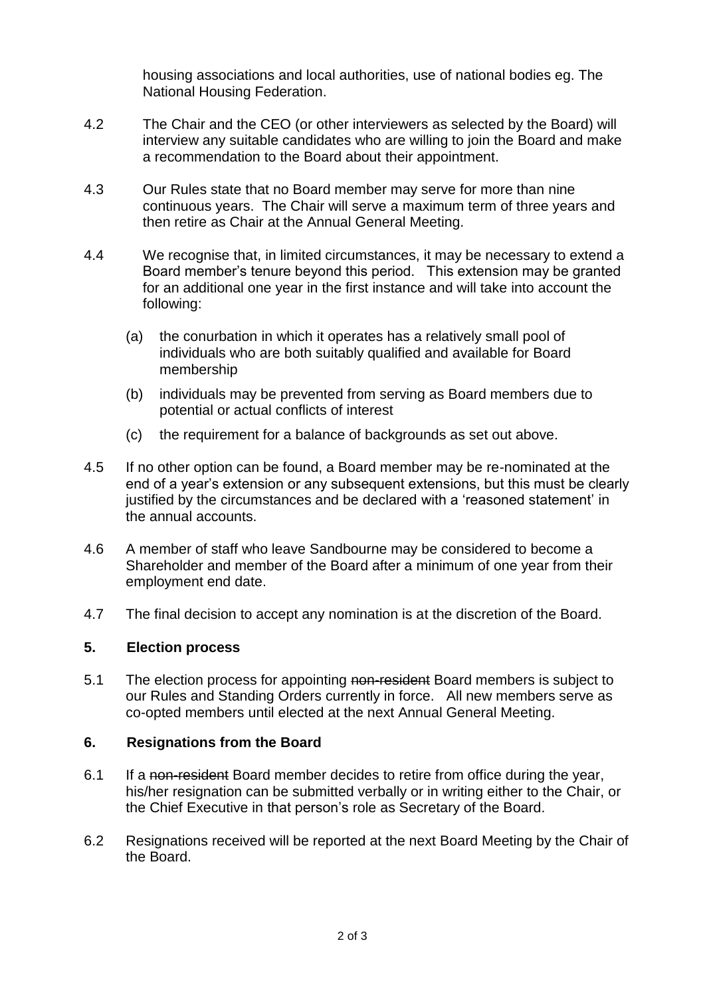housing associations and local authorities, use of national bodies eg. The National Housing Federation.

- 4.2 The Chair and the CEO (or other interviewers as selected by the Board) will interview any suitable candidates who are willing to join the Board and make a recommendation to the Board about their appointment.
- 4.3 Our Rules state that no Board member may serve for more than nine continuous years. The Chair will serve a maximum term of three years and then retire as Chair at the Annual General Meeting.
- 4.4 We recognise that, in limited circumstances, it may be necessary to extend a Board member's tenure beyond this period. This extension may be granted for an additional one year in the first instance and will take into account the following:
	- (a) the conurbation in which it operates has a relatively small pool of individuals who are both suitably qualified and available for Board membership
	- (b) individuals may be prevented from serving as Board members due to potential or actual conflicts of interest
	- (c) the requirement for a balance of backgrounds as set out above.
- 4.5 If no other option can be found, a Board member may be re-nominated at the end of a year's extension or any subsequent extensions, but this must be clearly justified by the circumstances and be declared with a 'reasoned statement' in the annual accounts.
- 4.6 A member of staff who leave Sandbourne may be considered to become a Shareholder and member of the Board after a minimum of one year from their employment end date.
- 4.7 The final decision to accept any nomination is at the discretion of the Board.

## **5. Election process**

5.1 The election process for appointing non-resident Board members is subject to our Rules and Standing Orders currently in force. All new members serve as co-opted members until elected at the next Annual General Meeting.

## **6. Resignations from the Board**

- 6.1 If a non-resident Board member decides to retire from office during the year, his/her resignation can be submitted verbally or in writing either to the Chair, or the Chief Executive in that person's role as Secretary of the Board.
- 6.2 Resignations received will be reported at the next Board Meeting by the Chair of the Board.